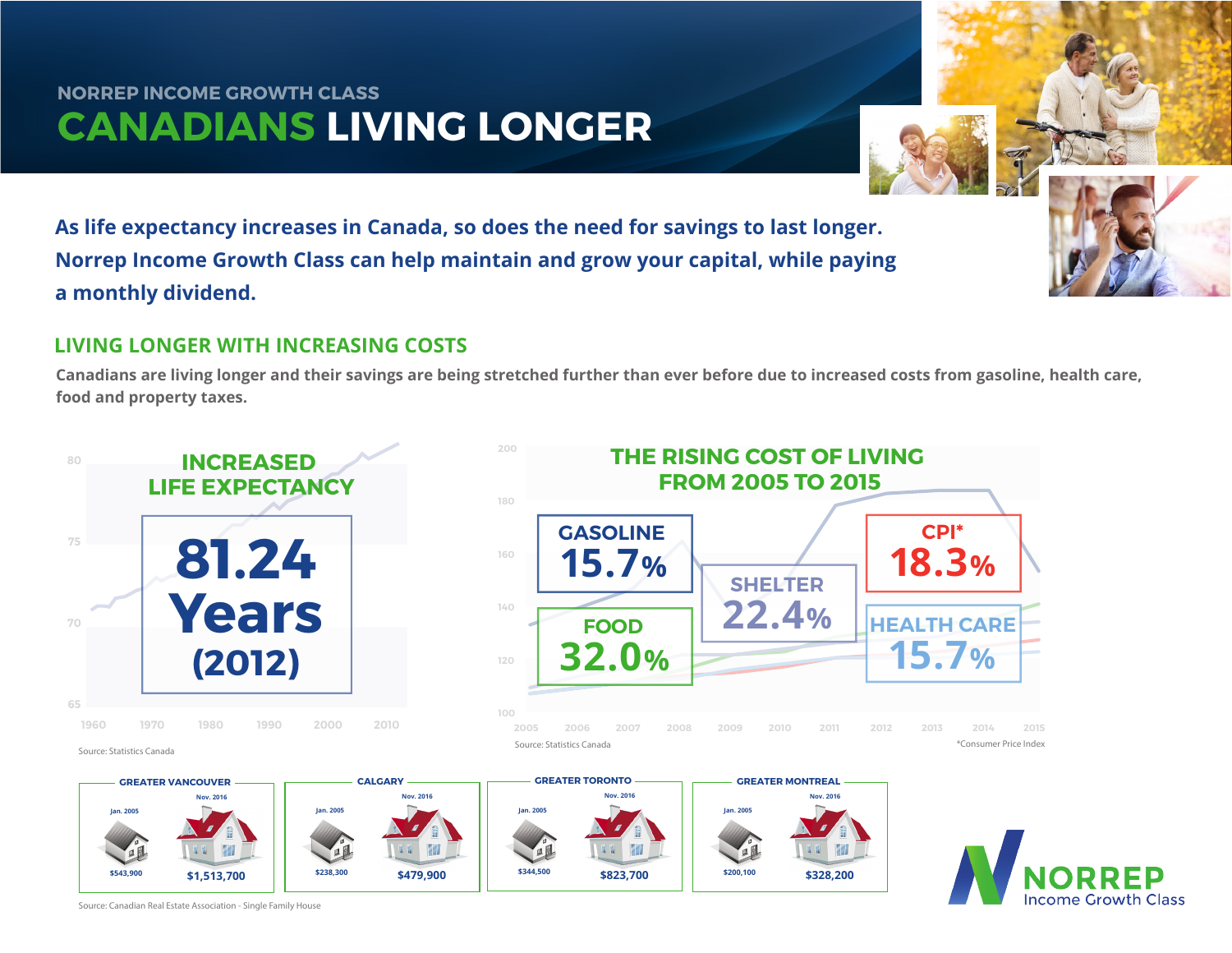## **CANADIANS LIVING LONGER NORREP INCOME GROWTH CLASS**

**As life expectancy increases in Canada, so does the need for savings to last longer. Norrep Income Growth Class can help maintain and grow your capital, while paying a monthly dividend.**

## **LIVING LONGER WITH INCREASING COSTS**

**Canadians are living longer and their savings are being stretched further than ever before due to increased costs from gasoline, health care, food and property taxes.**



Source: Canadian Real Estate Association - Single Family House